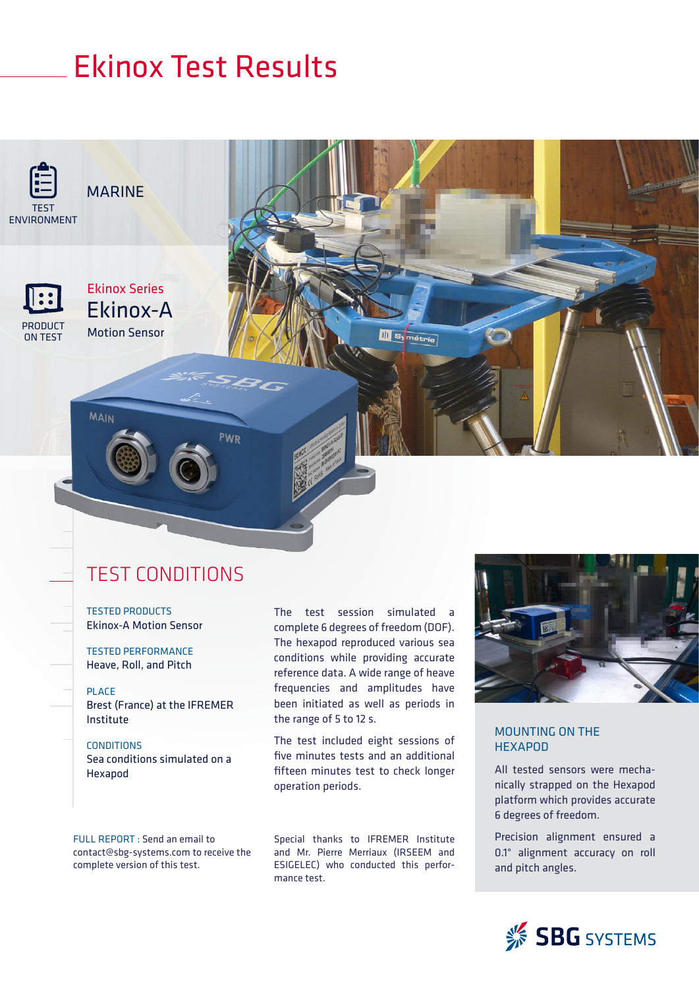# Ekinox Test Results



**PRODUC** ON TEST Ekinox Series Ekinox-A Motion Sensor

**MAIN** 

### TEST CONDITIONS

**PWR** 

TESTED PRODUCTS Ekinox-A Motion Sensor

TESTED PERFORMANCE Heave, Roll, and Pitch

PLACE Brest (France) at the IFREMER Institute

**CONDITIONS** Sea conditions simulated on a Hexapod

The test session simulated a complete 6 degrees of freedom (DOF). The hexapod reproduced various sea conditions while providing accurate reference data. A wide range of heave frequencies and amplitudes have been initiated as well as periods in the range of 5 to 12 s.

**III** Symétrie

The test included eight sessions of five minutes tests and an additional fifteen minutes test to check longer operation periods.

FULL REPORT : Send an email to contact@sbg-systems.com to receive the complete version of this test.

Special thanks to IFREMER Institute and Mr. Pierre Merriaux (IRSEEM and ESIGELEC) who conducted this performance test.



#### MOUNTING ON THE **HEXAPOD**

All tested sensors were mechanically strapped on the Hexapod platform which provides accurate 6 degrees of freedom.

Precision alignment ensured a 0.1° alignment accuracy on roll and pitch angles.